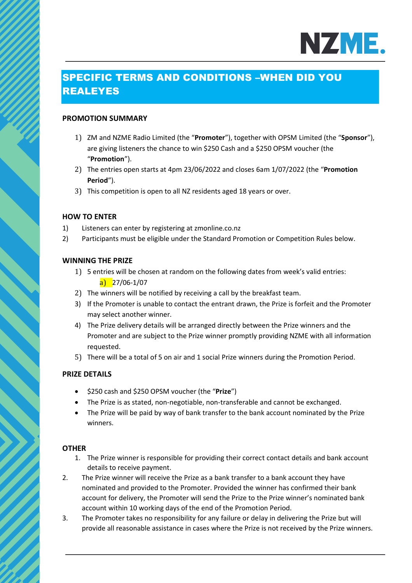# NZME.

## SPECIFIC TERMS AND CONDITIONS –WHEN DID YOU REALEYES

## **PROMOTION SUMMARY**

- 1) ZM and NZME Radio Limited (the "**Promoter**"), together with OPSM Limited (the "**Sponsor**"), are giving listeners the chance to win \$250 Cash and a \$250 OPSM voucher (the "**Promotion**").
- 2) The entries open starts at 4pm 23/06/2022 and closes 6am 1/07/2022 (the "**Promotion Period**").
- 3) This competition is open to all NZ residents aged 18 years or over.

## **HOW TO ENTER**

- 1) Listeners can enter by registering at zmonline.co.nz
- 2) Participants must be eligible under the Standard Promotion or Competition Rules below.

## **WINNING THE PRIZE**

- 1) 5 entries will be chosen at random on the following dates from week's valid entries:  $a)$  27/06-1/07
- 2) The winners will be notified by receiving a call by the breakfast team.
- 3) If the Promoter is unable to contact the entrant drawn, the Prize is forfeit and the Promoter may select another winner.
- 4) The Prize delivery details will be arranged directly between the Prize winners and the Promoter and are subject to the Prize winner promptly providing NZME with all information requested.
- 5) There will be a total of 5 on air and 1 social Prize winners during the Promotion Period.

## **PRIZE DETAILS**

- \$250 cash and \$250 OPSM voucher (the "**Prize**")
- The Prize is as stated, non-negotiable, non-transferable and cannot be exchanged.
- The Prize will be paid by way of bank transfer to the bank account nominated by the Prize winners.

## **OTHER**

- 1. The Prize winner is responsible for providing their correct contact details and bank account details to receive payment.
- 2. The Prize winner will receive the Prize as a bank transfer to a bank account they have nominated and provided to the Promoter. Provided the winner has confirmed their bank account for delivery, the Promoter will send the Prize to the Prize winner's nominated bank account within 10 working days of the end of the Promotion Period.
- 3. The Promoter takes no responsibility for any failure or delay in delivering the Prize but will provide all reasonable assistance in cases where the Prize is not received by the Prize winners.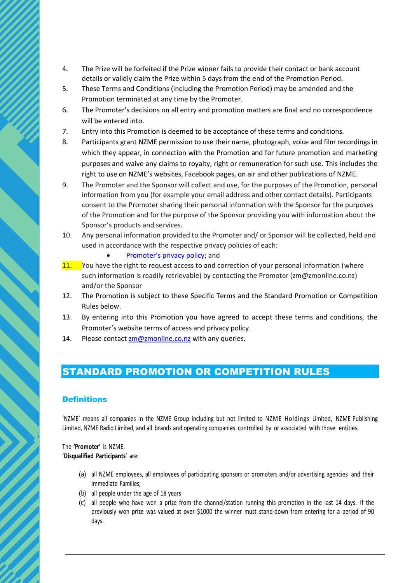- 4. The Prize will be forfeited if the Prize winner fails to provide their contact or bank account details or validly claim the Prize within 5 days from the end of the Promotion Period.
- 5. These Terms and Conditions (including the Promotion Period) may be amended and the Promotion terminated at any time by the Promoter.
- 6. The Promoter's decisions on all entry and promotion matters are final and no correspondence will be entered into.
- 7. Entry into this Promotion is deemed to be acceptance of these terms and conditions.
- 8. Participants grant NZME permission to use their name, photograph, voice and film recordings in which they appear, in connection with the Promotion and for future promotion and marketing purposes and waive any claims to royalty, right or remuneration for such use. This includes the right to use on NZME's websites, Facebook pages, on air and other publications of NZME.
- 9. The Promoter and the Sponsor will collect and use, for the purposes of the Promotion, personal information from you (for example your email address and other contact details). Participants consent to the Promoter sharing their personal information with the Sponsor for the purposes of the Promotion and for the purpose of the Sponsor providing you with information about the Sponsor's products and services.
- 10. Any personal information provided to the Promoter and/ or Sponsor will be collected, held and used in accordance with the respective privacy policies of each:
	- Promot[er's privacy policy](https://www.nzme.co.nz/media/5ihfylhk/nzme-privacy-policy_may2021_v2.pdf); and
- 11. You have the right to request access to and correction of your personal information (where such information is readily retrievable) by contacting the Promoter (zm@zmonline.co.nz) and/or the Sponsor
- 12. The Promotion is subject to these Specific Terms and the Standard Promotion or Competition Rules below.
- 13. By entering into this Promotion you have agreed to accept these terms and conditions, the Promoter's website terms of access and privacy policy.
- 14. Please contac[t zm@zmonline.co.nz](mailto:zm@zmonline.co.nz) with any queries.

## STANDARD PROMOTION OR COMPETITION RULES

## **Definitions**

'NZME' means all companies in the NZME Group including but not limited to NZME Holdings Limited, NZME Publishing Limited, NZME Radio Limited, and all brands and operating companies controlled by or associated with those entities.

The **'Promoter'** is NZME. '**Disqualified Participants**' are:

- (a) all NZME employees, all employees of participating sponsors or promoters and/or advertising agencies and their Immediate Families;
- (b) all people under the age of 18 years
- (c) all people who have won a prize from the channel/station running this promotion in the last 14 days. If the previously won prize was valued at over \$1000 the winner must stand-down from entering for a period of 90 days.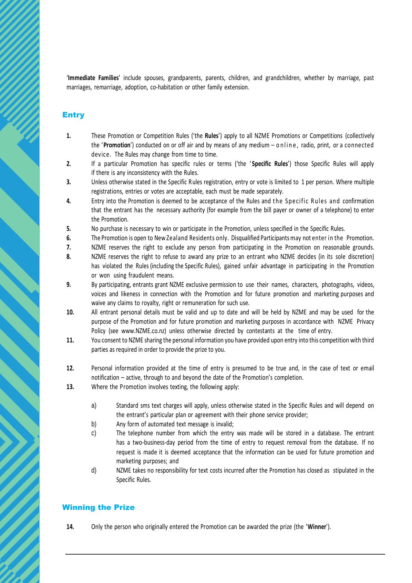'**Immediate Families**' include spouses, grandparents, parents, children, and grandchildren, whether by marriage, past marriages, remarriage, adoption, co-habitation or other family extension.

## **Entry**

- **1.** These Promotion or Competition Rules ('the **Rules**') apply to all NZME Promotions or Competitions (collectively the '**Promotion**') conducted on or off air and by means of any medium – o nline, radio, print, or a connected device. The Rules may change from time to time.
- **2.** If a particular Promotion has specific rules or terms ('the ' **Specific Rules**') those Specific Rules will apply if there is any inconsistency with the Rules.
- **3.** Unless otherwise stated in the Specific Rules registration, entry or vote is limited to 1 per person. Where multiple registrations, entries or votes are acceptable, each must be made separately.
- **4.** Entry into the Promotion is deemed to be acceptance of the Rules and the Specific Rules and confirmation that the entrant has the necessary authority (for example from the bill payer or owner of a telephone) to enter the Promotion.
- **5.** No purchase is necessary to win or participate in the Promotion, unless specified in the Specific Rules.
- **6.** The Promotion is open to New Zealand Residents only. Disqualified Participants may not enter in the Promotion.
- **7.** NZME reserves the right to exclude any person from participating in the Promotion on reasonable grounds.
- **8.** NZME reserves the right to refuse to award any prize to an entrant who NZME decides (in its sole discretion) has violated the Rules (including the Specific Rules), gained unfair advantage in participating in the Promotion or won using fraudulent means.
- **9.** By participating, entrants grant NZME exclusive permission to use their names, characters, photographs, videos, voices and likeness in connection with the Promotion and for future promotion and marketing purposes and waive any claims to royalty, right or remuneration for such use.
- **10.** All entrant personal details must be valid and up to date and will be held by NZME and may be used for the purpose of the Promotion and for future promotion and marketing purposes in accordance with NZME Privacy Policy (see www.NZME.co.nz) unless otherwise directed by contestants at the time of entry.
- **11.** You consent to NZME sharing the personal information you have provided upon entry into this competition with third parties as required in order to provide the prize to you.
- **12.** Personal information provided at the time of entry is presumed to be true and, in the case of text or email notification – active, through to and beyond the date of the Promotion's completion.
- **13.** Where the Promotion involves texting, the following apply:
	- a) Standard sms text charges will apply, unless otherwise stated in the Specific Rules and will depend on the entrant's particular plan or agreement with their phone service provider;
	- b) Any form of automated text message is invalid;
	- c) The telephone number from which the entry was made will be stored in a database. The entrant has a two-business-day period from the time of entry to request removal from the database. If no request is made it is deemed acceptance that the information can be used for future promotion and marketing purposes; and
	- d) NZME takes no responsibility for text costs incurred after the Promotion has closed as stipulated in the Specific Rules.

## Winning the Prize

**14.** Only the person who originally entered the Promotion can be awarded the prize (the '**Winner**').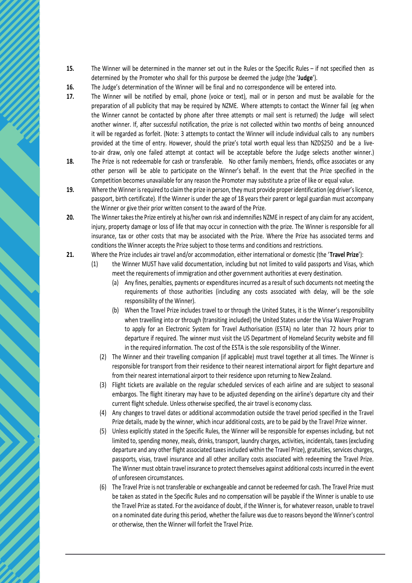- **15.** The Winner will be determined in the manner set out in the Rules or the Specific Rules if not specified then as determined by the Promoter who shall for this purpose be deemed the judge (the '**Judge**').
- **16.** The Judge's determination of the Winner will be final and no correspondence will be entered into.
- **17.** The Winner will be notified by email, phone (voice or text), mail or in person and must be available for the preparation of all publicity that may be required by NZME. Where attempts to contact the Winner fail (eg when the Winner cannot be contacted by phone after three attempts or mail sent is returned) the Judge will select another winner. If, after successful notification, the prize is not collected within two months of being announced it will be regarded as forfeit. (Note: 3 attempts to contact the Winner will include individual calls to any numbers provided at the time of entry. However, should the prize's total worth equal less than NZD\$250 and be a liveto-air draw, only one failed attempt at contact will be acceptable before the Judge selects another winner.)
- **18.** The Prize is not redeemable for cash or transferable. No other family members, friends, office associates or any other person will be able to participate on the Winner's behalf. In the event that the Prize specified in the Competition becomes unavailable for any reason the Promoter may substitute a prize of like or equal value.
- **19.** Where the Winner is required to claim the prize in person, they must provide proper identification (eg driver's licence, passport, birth certificate). If the Winner is under the age of 18 years their parent or legal guardian must accompany the Winner or give their prior written consent to the award of the Prize.
- **20.** The Winner takes the Prize entirely at his/her own risk and indemnifies NZME in respect of any claim for any accident, injury, property damage or loss of life that may occur in connection with the prize. The Winner is responsible for all insurance, tax or other costs that may be associated with the Prize. Where the Prize has associated terms and conditions the Winner accepts the Prize subject to those terms and conditions and restrictions.
- **21.** Where the Prize includes air travel and/or accommodation, either international or domestic (the '**Travel Prize**'):
	- (1) the Winner MUST have valid documentation, including but not limited to valid passports and Visas, which meet the requirements of immigration and other government authorities at every destination.
		- (a) Any fines, penalties, payments or expenditures incurred as a result of such documents not meeting the requirements of those authorities (including any costs associated with delay, will be the sole responsibility of the Winner).
		- (b) When the Travel Prize includes travel to or through the United States, it is the Winner's responsibility when travelling into or through (transiting included) the United States under the Visa Waiver Program to apply for an Electronic System for Travel Authorisation (ESTA) no later than 72 hours prior to departure if required. The winner must visit the US Department of Homeland Security website and fill in the required information. The cost of the ESTA is the sole responsibility of the Winner.
		- (2) The Winner and their travelling companion (if applicable) must travel together at all times. The Winner is responsible for transport from their residence to their nearest international airport for flight departure and from their nearest international airport to their residence upon returning to New Zealand.
		- (3) Flight tickets are available on the regular scheduled services of each airline and are subject to seasonal embargos. The flight itinerary may have to be adjusted depending on the airline's departure city and their current flight schedule. Unless otherwise specified, the air travel is economy class.
		- (4) Any changes to travel dates or additional accommodation outside the travel period specified in the Travel Prize details, made by the winner, which incur additional costs, are to be paid by the Travel Prize winner.
		- (5) Unless explicitly stated in the Specific Rules, the Winner will be responsible for expenses including, but not limited to, spending money, meals, drinks, transport, laundry charges, activities, incidentals, taxes (excluding departure and any other flight associated taxes included within the Travel Prize), gratuities, services charges, passports, visas, travel insurance and all other ancillary costs associated with redeeming the Travel Prize. The Winner must obtain travel insurance to protect themselves against additional costs incurred in the event of unforeseen circumstances.
		- (6) The Travel Prize is not transferable or exchangeable and cannot be redeemed for cash. The Travel Prize must be taken as stated in the Specific Rules and no compensation will be payable if the Winner is unable to use the Travel Prize as stated. For the avoidance of doubt, if the Winner is, for whatever reason, unable to travel on a nominated date during this period, whether the failure was due to reasons beyond the Winner's control or otherwise, then the Winner will forfeit the Travel Prize.